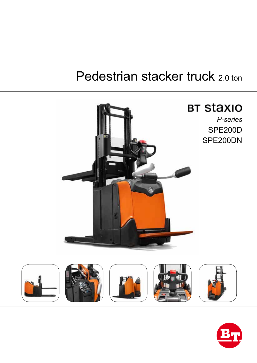# Pedestrian stacker truck 2.0 ton



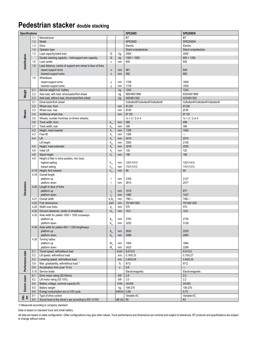#### **Pedestrian stacker double stacking**

| <b>Specifications</b> |      |                                                                                 |                            | <b>SPE200D</b> | SPE200DN                         |                                  |
|-----------------------|------|---------------------------------------------------------------------------------|----------------------------|----------------|----------------------------------|----------------------------------|
|                       | 1.1  | Manufacturer                                                                    |                            |                | <b>BT</b>                        | BT                               |
|                       | 1.2  | Model                                                                           |                            |                | SPE200D                          | SPE200DN                         |
|                       | 1.3  | Drive                                                                           |                            |                | Electric                         | Electric                         |
| dentification         | 1.4  | Operator type                                                                   |                            |                | Stand on/pedestrian              | Stand on/pedestrian              |
|                       | 1.5  | Load capacity/rated load                                                        | Q                          | kg             | 2000                             | 2000                             |
|                       |      | Double stacking capacity - fork/support arm capacity                            | Q                          | kg             | $1000 + 1000$                    | $800 + 1200$                     |
|                       | 1.6  | Load center                                                                     | c                          | mm             | 600                              | 600                              |
|                       | 1.8  | Load distance, centre of support arm wheel to face of forks                     |                            |                |                                  |                                  |
|                       |      | raised support arms                                                             | X                          | mm             | 961                              | 849                              |
|                       |      | lowered support arms                                                            | X                          | mm             | 992                              | 880                              |
|                       | 1.9  | Wheelbase                                                                       |                            |                |                                  |                                  |
|                       |      | raised support arms                                                             |                            | mm             | 1708                             | 1608                             |
|                       |      | lowered support arms                                                            | y<br>V                     | mm             | 1739                             | 1639                             |
|                       | 2.1  | Service weight incl. battery                                                    |                            | kg             | 1243                             | 1243                             |
|                       | 2.2  | Axle load, with load, drive/castor/fork wheel                                   |                            |                | 880/495/1868                     | 830/545/1868                     |
| Weight                | 2.3  | Axle load, without load, drive/castor/fork wheel                                |                            | kg<br>kg       | 440/461/342                      | 420/481/342                      |
|                       | 3.1  | Drive/castor/fork wheel                                                         |                            |                | Vulkollan®/Vulkollan®/Vulkollan® | Vulkollan®/Vulkollan®/Vulkollan® |
|                       | 3.2  | Wheel size, front                                                               |                            |                | Ø 230                            | Ø 230                            |
|                       | 3.3  |                                                                                 |                            | mm             | Ø 85                             | Ø 85                             |
|                       |      | Wheel size, rear                                                                |                            | mm             | Ø 125                            | Ø 125                            |
| Wheels                | 3.4  | Additional wheel size                                                           |                            | mm             |                                  |                                  |
|                       | 3.5  | Wheels, number front/rear (x=driven wheels)                                     |                            |                | $1x + 2/2$ or 4                  | $1x + 2 / 2$ or 4                |
|                       | 3.6  | Track width, front                                                              | $b_{10}$                   | mm             | 560                              | 498                              |
|                       | 3.7  | Track width, rear                                                               | b,                         | mm             | 390                              | 390                              |
|                       | 4.2  | Height, mast lowered                                                            | $h_{1}$                    | mm             | 1785                             | 1540                             |
|                       | 4.3  | Free lift                                                                       | $h_{\scriptscriptstyle 2}$ | mm             | 1356                             | $\overline{\phantom{0}}$         |
|                       | 4.4  | Lift                                                                            | h <sub>3</sub>             | mm             | 2410                             | 2010                             |
|                       |      | Lift height                                                                     | $h_{23}$                   | mm             | 2500                             | 2100                             |
|                       | 4.5  | Height, mast extended                                                           | $h_a$                      | mm             | 3018                             | 2525                             |
|                       | 4.6  | <b>Initial Lift</b>                                                             | $h_{\epsilon}$             | mm             | 120                              | 120                              |
|                       | 4.8  | Stand height                                                                    | h,                         | mm             | 190                              | 190                              |
|                       | 4.9  | Height of tiller in drive position, min./max.                                   |                            |                |                                  |                                  |
|                       |      | highest setting                                                                 | $h_{14}$                   | mm             | 1201/1413                        | 1201/1413                        |
|                       |      | lowest setting                                                                  | $h_{14}$                   | mm             | 1101/1313                        | 1101/1313                        |
|                       | 4.15 | Height, fork lowered                                                            | $h_{13}$                   | mm             | 90                               | 90                               |
|                       | 4.19 | Overall length                                                                  |                            |                |                                  |                                  |
|                       |      | platform up                                                                     |                            | mm             | 2165                             | 2127                             |
| <b>Dimensions</b>     |      | platform down                                                                   |                            | mm             | 2615                             | 2577                             |
|                       | 4.20 | Length to face of forks                                                         |                            |                |                                  |                                  |
|                       |      | platform up                                                                     | $\mathsf{I}_{2}$           | mm             | 1015                             | 977                              |
|                       |      | platform down                                                                   | $\mathsf{I}_{\mathsf{I}}$  | mm             | 1465                             | 1427                             |
|                       | 4.21 | Overall width                                                                   | b/b                        | mm             | $790/-$                          | $748/-$                          |
|                       | 4.22 | Fork dimensions                                                                 | s/e/l                      | mm             | 70/180/1200                      | 70/180/1200                      |
|                       | 4.25 | Width over forks                                                                | b,                         | mm             | 570                              | 570                              |
|                       | 4.32 | Ground clearance, center of wheelbase                                           | $m_{\scriptscriptstyle 2}$ | mm             | 19,5                             | 19,5                             |
|                       | 4.33 | Aisle width for pallets 1000 × 1200 crossways                                   |                            |                |                                  |                                  |
|                       |      | platform up                                                                     | $A_{st}$                   | mm             | 2783                             | 2735                             |
|                       |      | platform down                                                                   | A                          | mm             | 3252                             | 3128                             |
|                       |      | 4.34 Aisle width for pallets 800 × 1200 lengthways                              |                            |                |                                  |                                  |
|                       |      | platform up                                                                     | $A_{st}$                   | mm             | 2620                             | 2530                             |
|                       |      | platform down                                                                   | $A_{st}$                   | mm             | 3089                             | 2965                             |
|                       | 4.35 | Turning radius                                                                  |                            |                |                                  |                                  |
|                       |      | platform up                                                                     | W.                         | mm             | 1954                             | 1864                             |
|                       |      | platform down                                                                   | W.                         | mm             | 2423                             | 2299                             |
|                       | 5.1  | Travel speed, with/without load                                                 |                            | km/h           | 9,0/10,0                         | 9,0/10,0                         |
|                       | 5.2  | Lift speed, with/without load                                                   |                            | m/s            | 0,18/0,33                        | 0,15/0,27                        |
|                       | 5.3  | Lowering speed, with/without load                                               |                            | m/s            | 0,45/0,45                        | 0,45/0,35                        |
|                       | 5.8  | Max. gradeability, with/without load 1)                                         |                            | $\%$           | 8/12                             | 8/12                             |
| Performance data      | 5.9  | Acceleration time (over 10 m)                                                   |                            | $\mathsf{s}$   | 5,6                              | $\overline{\phantom{0}}$         |
|                       | 5.10 | Service brake                                                                   |                            |                | Electromagnetic                  | Electromagnetic                  |
| Electric motor        | 6.1  | Drive motor rating (S2 60min)                                                   |                            | kW             | 2,5                              | 2,5                              |
|                       | 6.2  | Lift motor rating (S3 15%)                                                      |                            | kW             | 3,0                              | 2,2                              |
|                       | 6.4  | Battery voltage, nominal capacity K5                                            |                            | V/Ah           | 24/300                           | 24/300                           |
|                       | 6.5  | Battery weight                                                                  |                            | kg             | 195-270                          | 195-270                          |
|                       | 6.6  | Energy consumption acc to VDI cycle                                             |                            | kWh/h          | 0,88                             | 0,75                             |
| oth-<br>ers           | 8.1  | Type of drive control<br>Sound level at the driver's ear according to EN 12 053 |                            |                | Variable AC                      | Variable AC                      |
|                       | 8.4  |                                                                                 |                            | dB(A)          | 65                               | 63                               |

1) Measured according to company standard.

Data is based on standard truck and small battery.

All data are based on table configuration. Other configurations may give other values. Truck performance and dimensions are nominal and subject to tolerances. BT products and specifications are subject to change without notice.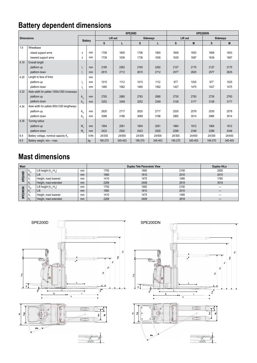## **Battery dependent dimensions**

|                   |                                             |                |               |          | SPE200D |                 | SPE200DN |          |         |                 |         |
|-------------------|---------------------------------------------|----------------|---------------|----------|---------|-----------------|----------|----------|---------|-----------------|---------|
| <b>Dimensions</b> |                                             | <b>Battery</b> |               | Lift out |         | <b>Sideways</b> |          | Lift out |         | <b>Sideways</b> |         |
|                   |                                             |                |               | S        |         | s               |          | S        | M       | S               | M       |
| 1.9               | Wheelbase                                   |                |               |          |         |                 |          |          |         |                 |         |
|                   | raised support arms                         | y              | mm            | 1708     | 1805    | 1708            | 1805     | 1608     | 1653    | 1608            | 1653    |
|                   | lowered support arms                        | V              | mm            | 1739     | 1836    | 1739            | 1836     | 1639     | 1687    | 1639            | 1687    |
| 4.19              | Overall length                              |                |               |          |         |                 |          |          |         |                 |         |
|                   | platform up                                 |                | mm            | 2165     | 2262    | 2165            | 2262     | 2127     | 2175    | 2127            | 2175    |
|                   | platform down                               |                | mm            | 2615     | 2712    | 2615            | 2712     | 2577     | 2625    | 2577            | 2625    |
| 4.20              | Length to face of forks                     |                | mm            |          |         |                 |          |          |         |                 |         |
|                   | platform up                                 | $\mathsf{I}_2$ | mm            | 1015     | 1112    | 1015            | 1112     | 977      | 1025    | 977             | 1025    |
|                   | platform down                               |                | mm            | 1465     | 1562    | 1465            | 1562     | 1427     | 1475    | 1427            | 1475    |
| 4.33              | Aisle width for pallets 1000x1200 crossways |                |               |          |         |                 |          |          |         |                 |         |
|                   | platform up                                 | $A_{\rm et}$   | mm            | 2783     | 2880    | 2783            | 2880     | 2735     | 2783    | 2735            | 2783    |
|                   | platform down                               | $A_{st}$       | <sub>mm</sub> | 3252     | 3349    | 3252            | 3349     | 3128     | 3177    | 3128            | 3177    |
| 4.34              | Aisle width for pallets 800x1200 lengthways |                |               |          |         |                 |          |          |         |                 |         |
|                   | platform up                                 | $A_{\rm et}$   | mm            | 2620     | 2717    | 2620            | 2717     | 2530     | 2578    | 2530            | 2578    |
|                   | platform down                               | $A_{st}$       | mm            | 3089     | 3186    | 3089            | 3186     | 2965     | 3014    | 2965            | 3014    |
| 4.35              | Turning radius                              |                |               |          |         |                 |          |          |         |                 |         |
|                   | platform up                                 | $W_a$          | mm            | 1954     | 2051    | 1954            | 2051     | 1864     | 1912    | 1864            | 1912    |
|                   | platform down                               | W <sub>a</sub> | <sub>mm</sub> | 2423     | 2520    | 2423            | 2520     | 2299     | 2348    | 2299            | 2348    |
| 6.4               | Battery voltage, nominal capacity K.        |                | V/Ah          | 24/300   | 24/500  | 24/300          | 24/500   | 24/300   | 24/400  | 24/300          | 24/400  |
| 6.5               | Battery weight, min.-max.                   |                | kg            | 195-270  | 345-403 | 195-270         | 345-403  | 195-270  | 345-403 | 195-270         | 345-403 |

### **Mast dimensions**

| <b>Mast</b>          |                   |                              |    |      | Duplex HiLo |      |      |
|----------------------|-------------------|------------------------------|----|------|-------------|------|------|
| 200D<br>m<br>o.<br>ភ | $\mathsf{H}_{23}$ | Lift height $(h_{13} + h_3)$ | mm | 1750 | 1900        | 2100 | 2500 |
|                      | $H_2$             | LITT                         | mm | 1660 | 1810        | 2010 | 2410 |
|                      |                   | Height, mast lowered         | mm | 1410 | 1475        | 1585 | 1785 |
|                      |                   | Height, mast extended        | mm | 2268 | 2408        | 2618 | 3018 |
| ō<br>ā<br>₩<br>ೲ     | $\frac{11}{23}$   | Lift height $(h_{13}+h_3)$   | mm | 1750 | 1900        | 2100 |      |
|                      |                   |                              | mm | 1660 | 1810        | 2010 |      |
|                      |                   | Height, mast lowered         | mm | 1410 | 1475        | 1585 |      |
|                      |                   | Height, mast extended        | mm | 2268 | 2408        | 2618 |      |